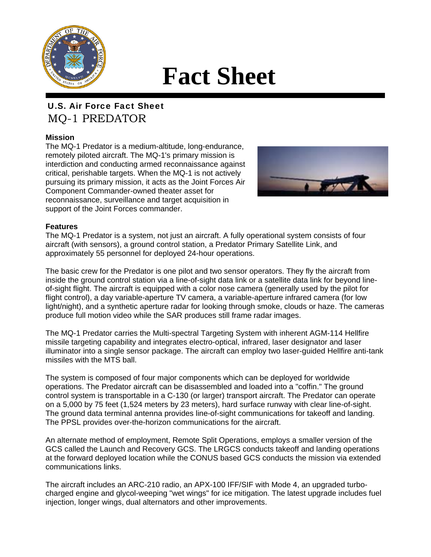

# **Fact Sheet**

# U.S. Air Force Fact Sheet MQ-1 PREDATOR

# **Mission**

The MQ-1 Predator is a medium-altitude, long-endurance, remotely piloted aircraft. The MQ-1's primary mission is interdiction and conducting armed reconnaissance against critical, perishable targets. When the MQ-1 is not actively pursuing its primary mission, it acts as the Joint Forces Air Component Commander-owned theater asset for reconnaissance, surveillance and target acquisition in support of the Joint Forces commander.



# **Features**

The MQ-1 Predator is a system, not just an aircraft. A fully operational system consists of four aircraft (with sensors), a ground control station, a Predator Primary Satellite Link, and approximately 55 personnel for deployed 24-hour operations.

The basic crew for the Predator is one pilot and two sensor operators. They fly the aircraft from inside the ground control station via a line-of-sight data link or a satellite data link for beyond lineof-sight flight. The aircraft is equipped with a color nose camera (generally used by the pilot for flight control), a day variable-aperture TV camera, a variable-aperture infrared camera (for low light/night), and a synthetic aperture radar for looking through smoke, clouds or haze. The cameras produce full motion video while the SAR produces still frame radar images.

The MQ-1 Predator carries the Multi-spectral Targeting System with inherent AGM-114 Hellfire missile targeting capability and integrates electro-optical, infrared, laser designator and laser illuminator into a single sensor package. The aircraft can employ two laser-guided Hellfire anti-tank missiles with the MTS ball.

The system is composed of four major components which can be deployed for worldwide operations. The Predator aircraft can be disassembled and loaded into a "coffin." The ground control system is transportable in a C-130 (or larger) transport aircraft. The Predator can operate on a 5,000 by 75 feet (1,524 meters by 23 meters), hard surface runway with clear line-of-sight. The ground data terminal antenna provides line-of-sight communications for takeoff and landing. The PPSL provides over-the-horizon communications for the aircraft.

An alternate method of employment, Remote Split Operations, employs a smaller version of the GCS called the Launch and Recovery GCS. The LRGCS conducts takeoff and landing operations at the forward deployed location while the CONUS based GCS conducts the mission via extended communications links.

The aircraft includes an ARC-210 radio, an APX-100 IFF/SIF with Mode 4, an upgraded turbocharged engine and glycol-weeping "wet wings" for ice mitigation. The latest upgrade includes fuel injection, longer wings, dual alternators and other improvements.